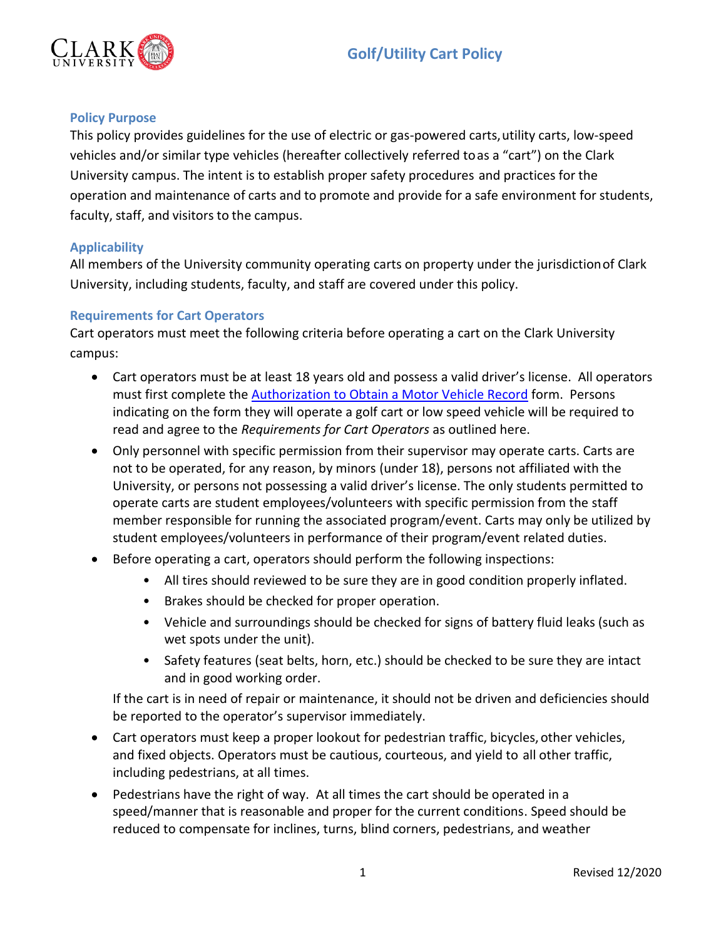

## **Policy Purpose**

This policy provides guidelines for the use of electric or gas-powered carts, utility carts, low-speed vehicles and/or similar type vehicles (hereafter collectively referred toas a "cart") on the Clark University campus. The intent is to establish proper safety procedures and practices for the operation and maintenance of carts and to promote and provide for a safe environment for students, faculty, staff, and visitors to the campus.

# **Applicability**

All members of the University community operating carts on property under the jurisdictionof Clark University, including students, faculty, and staff are covered under this policy.

# **Requirements for Cart Operators**

Cart operators must meet the following criteria before operating a cart on the Clark University campus:

- Cart operators must be at least 18 years old and possess a valid driver's license. All operators must first complete the [Authorization to Obtain a Motor Vehicle Record](https://forms.office.com/Pages/ResponsePage.aspx?id=PSaytapoPkW5cqoUIUEPgPbfMG7oFM9Nsxpi2gB7afdUQUxHWEU2R1FVMjlXTVlLNTY4TTRMTk5KVy4u) form. Persons indicating on the form they will operate a golf cart or low speed vehicle will be required to read and agree to the *Requirements for Cart Operators* as outlined here.
- Only personnel with specific permission from their supervisor may operate carts. Carts are not to be operated, for any reason, by minors (under 18), persons not affiliated with the University, or persons not possessing a valid driver's license. The only students permitted to operate carts are student employees/volunteers with specific permission from the staff member responsible for running the associated program/event. Carts may only be utilized by student employees/volunteers in performance of their program/event related duties.
- Before operating a cart, operators should perform the following inspections:
	- All tires should reviewed to be sure they are in good condition properly inflated.
	- Brakes should be checked for proper operation.
	- Vehicle and surroundings should be checked for signs of battery fluid leaks (such as wet spots under the unit).
	- Safety features (seat belts, horn, etc.) should be checked to be sure they are intact and in good working order.

If the cart is in need of repair or maintenance, it should not be driven and deficiencies should be reported to the operator's supervisor immediately.

- Cart operators must keep a proper lookout for pedestrian traffic, bicycles, other vehicles, and fixed objects. Operators must be cautious, courteous, and yield to all other traffic, including pedestrians, at all times.
- Pedestrians have the right of way. At all times the cart should be operated in a speed/manner that is reasonable and proper for the current conditions. Speed should be reduced to compensate for inclines, turns, blind corners, pedestrians, and weather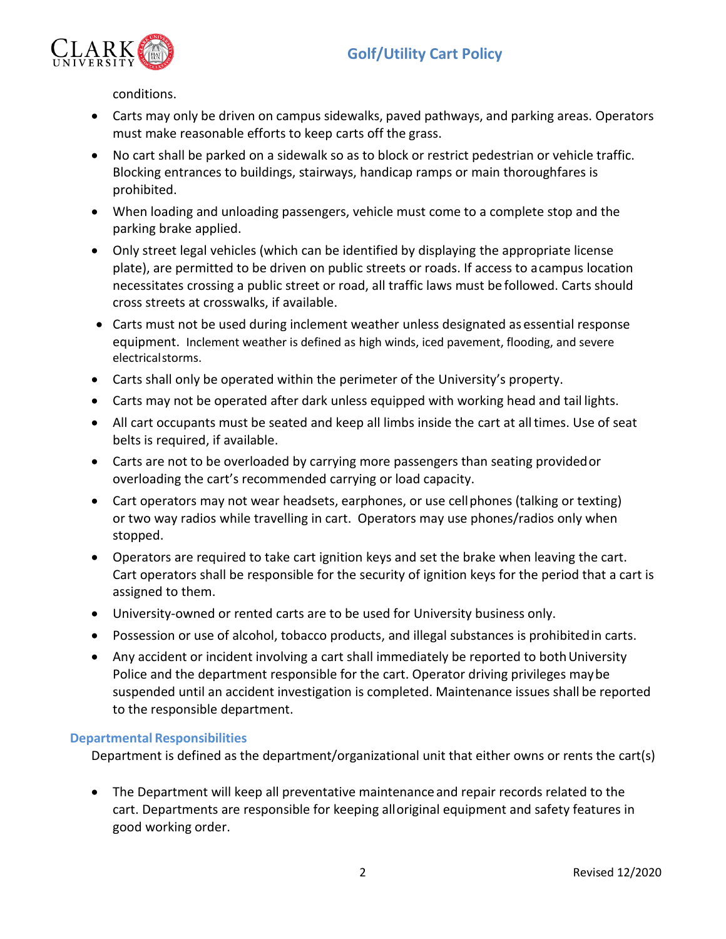

conditions.

- Carts may only be driven on campus sidewalks, paved pathways, and parking areas. Operators must make reasonable efforts to keep carts off the grass.
- No cart shall be parked on a sidewalk so as to block or restrict pedestrian or vehicle traffic. Blocking entrances to buildings, stairways, handicap ramps or main thoroughfares is prohibited.
- When loading and unloading passengers, vehicle must come to a complete stop and the parking brake applied.
- Only street legal vehicles (which can be identified by displaying the appropriate license plate), are permitted to be driven on public streets or roads. If access to acampus location necessitates crossing a public street or road, all traffic laws must be followed. Carts should cross streets at crosswalks, if available.
- Carts must not be used during inclement weather unless designated as essential response equipment. Inclement weather is defined as high winds, iced pavement, flooding, and severe electricalstorms.
- Carts shall only be operated within the perimeter of the University's property.
- Carts may not be operated after dark unless equipped with working head and tail lights.
- All cart occupants must be seated and keep all limbs inside the cart at alltimes. Use of seat belts is required, if available.
- Carts are not to be overloaded by carrying more passengers than seating providedor overloading the cart's recommended carrying or load capacity.
- Cart operators may not wear headsets, earphones, or use cellphones (talking or texting) or two way radios while travelling in cart. Operators may use phones/radios only when stopped.
- Operators are required to take cart ignition keys and set the brake when leaving the cart. Cart operators shall be responsible for the security of ignition keys for the period that a cart is assigned to them.
- University-owned or rented carts are to be used for University business only.
- Possession or use of alcohol, tobacco products, and illegal substances is prohibitedin carts.
- Any accident or incident involving a cart shall immediately be reported to both University Police and the department responsible for the cart. Operator driving privileges maybe suspended until an accident investigation is completed. Maintenance issues shall be reported to the responsible department.

### **Departmental Responsibilities**

Department is defined as the department/organizational unit that either owns or rents the cart(s)

 The Department will keep all preventative maintenance and repair records related to the cart. Departments are responsible for keeping alloriginal equipment and safety features in good working order.